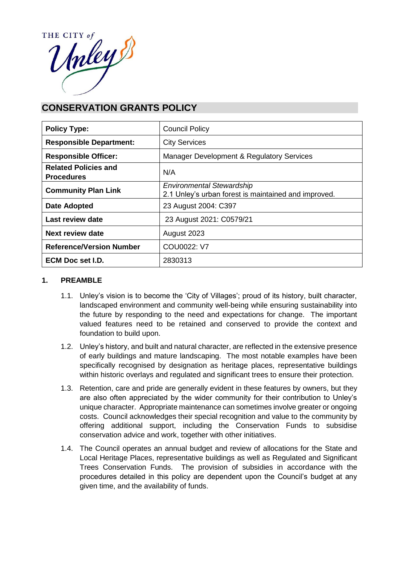

# **CONSERVATION GRANTS POLICY**

| <b>Policy Type:</b>                              | <b>Council Policy</b>                                                                    |  |
|--------------------------------------------------|------------------------------------------------------------------------------------------|--|
| <b>Responsible Department:</b>                   | <b>City Services</b>                                                                     |  |
| <b>Responsible Officer:</b>                      | Manager Development & Regulatory Services                                                |  |
| <b>Related Policies and</b><br><b>Procedures</b> | N/A                                                                                      |  |
| <b>Community Plan Link</b>                       | <b>Environmental Stewardship</b><br>2.1 Unley's urban forest is maintained and improved. |  |
| Date Adopted                                     | 23 August 2004: C397                                                                     |  |
| Last review date                                 | 23 August 2021: C0579/21                                                                 |  |
| Next review date                                 | August 2023                                                                              |  |
| <b>Reference/Version Number</b>                  | COU0022: V7                                                                              |  |
| ECM Doc set I.D.                                 | 2830313                                                                                  |  |

#### **1. PREAMBLE**

- 1.1. Unley's vision is to become the 'City of Villages'; proud of its history, built character, landscaped environment and community well-being while ensuring sustainability into the future by responding to the need and expectations for change. The important valued features need to be retained and conserved to provide the context and foundation to build upon.
- 1.2. Unley's history, and built and natural character, are reflected in the extensive presence of early buildings and mature landscaping. The most notable examples have been specifically recognised by designation as heritage places, representative buildings within historic overlays and regulated and significant trees to ensure their protection.
- 1.3. Retention, care and pride are generally evident in these features by owners, but they are also often appreciated by the wider community for their contribution to Unley's unique character. Appropriate maintenance can sometimes involve greater or ongoing costs. Council acknowledges their special recognition and value to the community by offering additional support, including the Conservation Funds to subsidise conservation advice and work, together with other initiatives.
- 1.4. The Council operates an annual budget and review of allocations for the State and Local Heritage Places, representative buildings as well as Regulated and Significant Trees Conservation Funds. The provision of subsidies in accordance with the procedures detailed in this policy are dependent upon the Council's budget at any given time, and the availability of funds.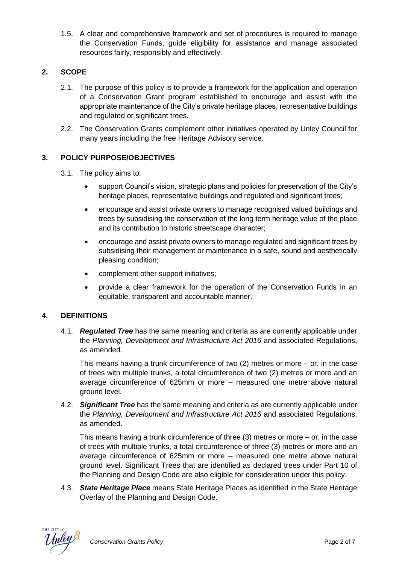1.5. A clear and comprehensive framework and set of procedures is required to manage the Conservation Funds, guide eligibility for assistance and manage associated resources fairly, responsibly and effectively.

## **2. SCOPE**

- 2.1. The purpose of this policy is to provide a framework for the application and operation of a Conservation Grant program established to encourage and assist with the appropriate maintenance of the City's private heritage places, representative buildings and regulated or significant trees.
- 2.2. The Conservation Grants complement other initiatives operated by Unley Council for many years including the free Heritage Advisory service.

## **3. POLICY PURPOSE/OBJECTIVES**

- 3.1. The policy aims to:
	- support Council's vision, strategic plans and policies for preservation of the City's heritage places, representative buildings and regulated and significant trees;
	- encourage and assist private owners to manage recognised valued buildings and trees by subsidising the conservation of the long term heritage value of the place and its contribution to historic streetscape character;
	- encourage and assist private owners to manage regulated and significant trees by subsidising their management or maintenance in a safe, sound and aesthetically pleasing condition;
	- complement other support initiatives;
	- provide a clear framework for the operation of the Conservation Funds in an equitable, transparent and accountable manner.

## **4. DEFINITIONS**

4.1. *Regulated Tree* has the same meaning and criteria as are currently applicable under the *Planning, Development and Infrastructure Act 2016* and associated Regulations, as amended.

This means having a trunk circumference of two (2) metres or more – or, in the case of trees with multiple trunks, a total circumference of two (2) metres or more and an average circumference of 625mm or more – measured one metre above natural ground level.

4.2. *Significant Tree* has the same meaning and criteria as are currently applicable under the *Planning, Development and Infrastructure Act 2016* and associated Regulations, as amended.

This means having a trunk circumference of three (3) metres or more – or, in the case of trees with multiple trunks, a total circumference of three (3) metres or more and an average circumference of 625mm or more – measured one metre above natural ground level. Significant Trees that are identified as declared trees under Part 10 of the Planning and Design Code are also eligible for consideration under this policy.

4.3. *State Heritage Place* means State Heritage Places as identified in the State Heritage Overlay of the Planning and Design Code.

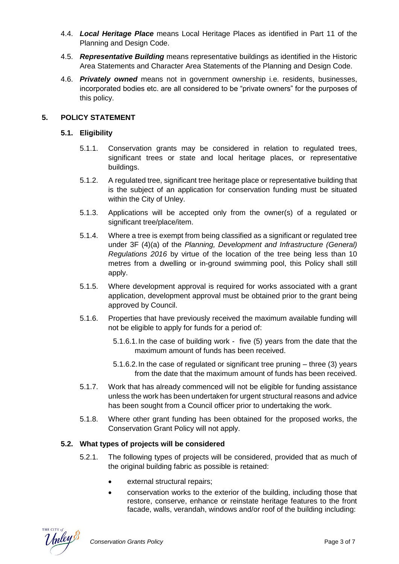- 4.4. *Local Heritage Place* means Local Heritage Places as identified in Part 11 of the Planning and Design Code.
- 4.5. *Representative Building* means representative buildings as identified in the Historic Area Statements and Character Area Statements of the Planning and Design Code.
- 4.6. *Privately owned* means not in government ownership i.e. residents, businesses, incorporated bodies etc. are all considered to be "private owners" for the purposes of this policy.

## **5. POLICY STATEMENT**

## **5.1. Eligibility**

- 5.1.1. Conservation grants may be considered in relation to regulated trees, significant trees or state and local heritage places, or representative buildings.
- 5.1.2. A regulated tree, significant tree heritage place or representative building that is the subject of an application for conservation funding must be situated within the City of Unley.
- 5.1.3. Applications will be accepted only from the owner(s) of a regulated or significant tree/place/item.
- 5.1.4. Where a tree is exempt from being classified as a significant or regulated tree under 3F (4)(a) of the *Planning, Development and Infrastructure (General) Regulations 2016* by virtue of the location of the tree being less than 10 metres from a dwelling or in-ground swimming pool, this Policy shall still apply.
- 5.1.5. Where development approval is required for works associated with a grant application, development approval must be obtained prior to the grant being approved by Council.
- 5.1.6. Properties that have previously received the maximum available funding will not be eligible to apply for funds for a period of:
	- 5.1.6.1.In the case of building work five (5) years from the date that the maximum amount of funds has been received.
	- 5.1.6.2.In the case of regulated or significant tree pruning three (3) years from the date that the maximum amount of funds has been received.
- 5.1.7. Work that has already commenced will not be eligible for funding assistance unless the work has been undertaken for urgent structural reasons and advice has been sought from a Council officer prior to undertaking the work.
- 5.1.8. Where other grant funding has been obtained for the proposed works, the Conservation Grant Policy will not apply.

## **5.2. What types of projects will be considered**

- 5.2.1. The following types of projects will be considered, provided that as much of the original building fabric as possible is retained:
	- external structural repairs;
	- conservation works to the exterior of the building, including those that restore, conserve, enhance or reinstate heritage features to the front facade, walls, verandah, windows and/or roof of the building including: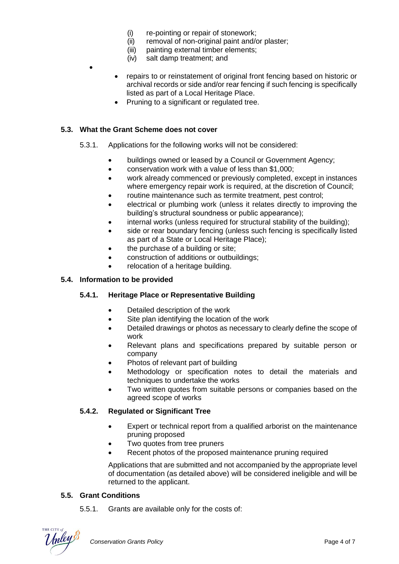- (i) re-pointing or repair of stonework;
- (ii) removal of non-original paint and/or plaster;<br>(iii) painting external timber elements;
- painting external timber elements;
- (iv) salt damp treatment; and
- repairs to or reinstatement of original front fencing based on historic or archival records or side and/or rear fencing if such fencing is specifically listed as part of a Local Heritage Place.
- Pruning to a significant or regulated tree.

#### **5.3. What the Grant Scheme does not cover**

•

- 5.3.1. Applications for the following works will not be considered:
	- buildings owned or leased by a Council or Government Agency;
	- conservation work with a value of less than \$1,000;
	- work already commenced or previously completed, except in instances where emergency repair work is required, at the discretion of Council;
	- routine maintenance such as termite treatment, pest control;
	- electrical or plumbing work (unless it relates directly to improving the building's structural soundness or public appearance);
	- internal works (unless required for structural stability of the building);
	- side or rear boundary fencing (unless such fencing is specifically listed as part of a State or Local Heritage Place);
	- the purchase of a building or site;
	- construction of additions or outbuildings;
	- relocation of a heritage building.

#### **5.4. Information to be provided**

## **5.4.1. Heritage Place or Representative Building**

- Detailed description of the work
- Site plan identifying the location of the work
- Detailed drawings or photos as necessary to clearly define the scope of work
- Relevant plans and specifications prepared by suitable person or company
- Photos of relevant part of building
- Methodology or specification notes to detail the materials and techniques to undertake the works
- Two written quotes from suitable persons or companies based on the agreed scope of works

#### **5.4.2. Regulated or Significant Tree**

- Expert or technical report from a qualified arborist on the maintenance pruning proposed
- Two quotes from tree pruners
- Recent photos of the proposed maintenance pruning required

Applications that are submitted and not accompanied by the appropriate level of documentation (as detailed above) will be considered ineligible and will be returned to the applicant.

#### **5.5. Grant Conditions**

5.5.1. Grants are available only for the costs of:

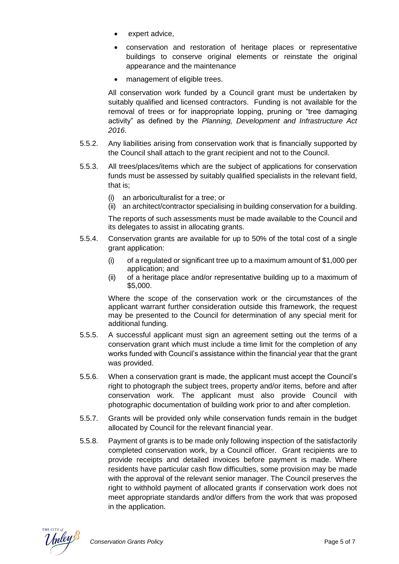- expert advice,
- conservation and restoration of heritage places or representative buildings to conserve original elements or reinstate the original appearance and the maintenance
- management of eligible trees.

All conservation work funded by a Council grant must be undertaken by suitably qualified and licensed contractors. Funding is not available for the removal of trees or for inappropriate lopping, pruning or "tree damaging activity" as defined by the *Planning, Development and Infrastructure Act 2016*.

- 5.5.2. Any liabilities arising from conservation work that is financially supported by the Council shall attach to the grant recipient and not to the Council.
- 5.5.3. All trees/places/items which are the subject of applications for conservation funds must be assessed by suitably qualified specialists in the relevant field, that is;
	- (i) an arboriculturalist for a tree; or
	- (ii) an architect/contractor specialising in building conservation for a building.

The reports of such assessments must be made available to the Council and its delegates to assist in allocating grants.

- 5.5.4. Conservation grants are available for up to 50% of the total cost of a single grant application:
	- (i) of a regulated or significant tree up to a maximum amount of  $$1,000$  per application; and
	- (ii) of a heritage place and/or representative building up to a maximum of \$5,000.

Where the scope of the conservation work or the circumstances of the applicant warrant further consideration outside this framework, the request may be presented to the Council for determination of any special merit for additional funding.

- 5.5.5. A successful applicant must sign an agreement setting out the terms of a conservation grant which must include a time limit for the completion of any works funded with Council's assistance within the financial year that the grant was provided.
- 5.5.6. When a conservation grant is made, the applicant must accept the Council's right to photograph the subject trees, property and/or items, before and after conservation work. The applicant must also provide Council with photographic documentation of building work prior to and after completion.
- 5.5.7. Grants will be provided only while conservation funds remain in the budget allocated by Council for the relevant financial year.
- 5.5.8. Payment of grants is to be made only following inspection of the satisfactorily completed conservation work, by a Council officer. Grant recipients are to provide receipts and detailed invoices before payment is made. Where residents have particular cash flow difficulties, some provision may be made with the approval of the relevant senior manager. The Council preserves the right to withhold payment of allocated grants if conservation work does not meet appropriate standards and/or differs from the work that was proposed in the application.

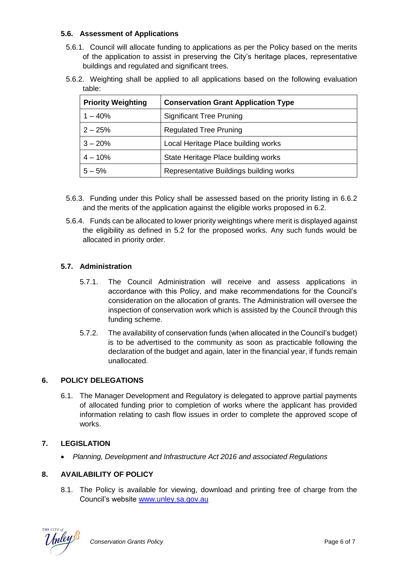## **5.6. Assessment of Applications**

- 5.6.1. Council will allocate funding to applications as per the Policy based on the merits of the application to assist in preserving the City's heritage places, representative buildings and regulated and significant trees.
- 5.6.2. Weighting shall be applied to all applications based on the following evaluation table:

| <b>Priority Weighting</b> | <b>Conservation Grant Application Type</b> |  |
|---------------------------|--------------------------------------------|--|
| $1 - 40%$                 | <b>Significant Tree Pruning</b>            |  |
| $2 - 25%$                 | <b>Regulated Tree Pruning</b>              |  |
| $3 - 20%$                 | Local Heritage Place building works        |  |
| $4 - 10%$                 | State Heritage Place building works        |  |
| $5 - 5%$                  | Representative Buildings building works    |  |

- 5.6.3. Funding under this Policy shall be assessed based on the priority listing in 6.6.2 and the merits of the application against the eligible works proposed in 6.2.
- 5.6.4. Funds can be allocated to lower priority weightings where merit is displayed against the eligibility as defined in 5.2 for the proposed works. Any such funds would be allocated in priority order.

# **5.7. Administration**

- 5.7.1. The Council Administration will receive and assess applications in accordance with this Policy, and make recommendations for the Council's consideration on the allocation of grants. The Administration will oversee the inspection of conservation work which is assisted by the Council through this funding scheme.
- 5.7.2. The availability of conservation funds (when allocated in the Council's budget) is to be advertised to the community as soon as practicable following the declaration of the budget and again, later in the financial year, if funds remain unallocated.

# **6. POLICY DELEGATIONS**

6.1. The Manager Development and Regulatory is delegated to approve partial payments of allocated funding prior to completion of works where the applicant has provided information relating to cash flow issues in order to complete the approved scope of works.

## **7. LEGISLATION**

• *Planning, Development and Infrastructure Act 2016 and associated Regulations*

# **8. AVAILABILITY OF POLICY**

8.1. The Policy is available for viewing, download and printing free of charge from the Council's website [www.unley.sa.gov.au](http://www.unley.sa.gov.au/)